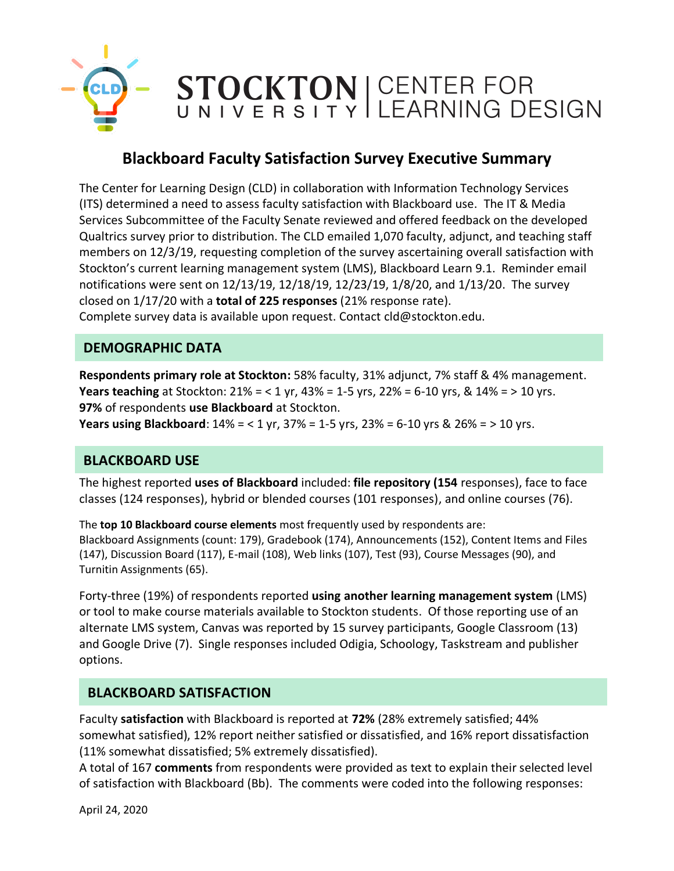

# **Blackboard Faculty Satisfaction Survey Executive Summary**

The Center for Learning Design (CLD) in collaboration with Information Technology Services (ITS) determined a need to assess faculty satisfaction with Blackboard use. The IT & Media Services Subcommittee of the Faculty Senate reviewed and offered feedback on the developed Qualtrics survey prior to distribution. The CLD emailed 1,070 faculty, adjunct, and teaching staff members on 12/3/19, requesting completion of the survey ascertaining overall satisfaction with Stockton's current learning management system (LMS), Blackboard Learn 9.1. Reminder email notifications were sent on 12/13/19, 12/18/19, 12/23/19, 1/8/20, and 1/13/20. The survey closed on 1/17/20 with a **total of 225 responses** (21% response rate). Complete survey data is available upon request. Contact cld@stockton.edu.

#### **DEMOGRAPHIC DATA**

**Respondents primary role at Stockton:** 58% faculty, 31% adjunct, 7% staff & 4% management. **Years teaching** at Stockton: 21% = < 1 yr, 43% = 1-5 yrs, 22% = 6-10 yrs, & 14% = > 10 yrs. **97%** of respondents **use Blackboard** at Stockton.

**Years using Blackboard**: 14% = < 1 yr, 37% = 1-5 yrs, 23% = 6-10 yrs & 26% = > 10 yrs.

## **BLACKBOARD USE**

The highest reported **uses of Blackboard** included: **file repository (154** responses), face to face classes (124 responses), hybrid or blended courses (101 responses), and online courses (76).

The **top 10 Blackboard course elements** most frequently used by respondents are: Blackboard Assignments (count: 179), Gradebook (174), Announcements (152), Content Items and Files (147), Discussion Board (117), E-mail (108), Web links (107), Test (93), Course Messages (90), and Turnitin Assignments (65).

Forty-three (19%) of respondents reported **using another learning management system** (LMS) or tool to make course materials available to Stockton students. Of those reporting use of an alternate LMS system, Canvas was reported by 15 survey participants, Google Classroom (13) and Google Drive (7). Single responses included Odigia, Schoology, Taskstream and publisher options.

#### **BLACKBOARD SATISFACTION**

Faculty **satisfaction** with Blackboard is reported at **72%** (28% extremely satisfied; 44% somewhat satisfied), 12% report neither satisfied or dissatisfied, and 16% report dissatisfaction (11% somewhat dissatisfied; 5% extremely dissatisfied).

A total of 167 **comments** from respondents were provided as text to explain their selected level of satisfaction with Blackboard (Bb). The comments were coded into the following responses: